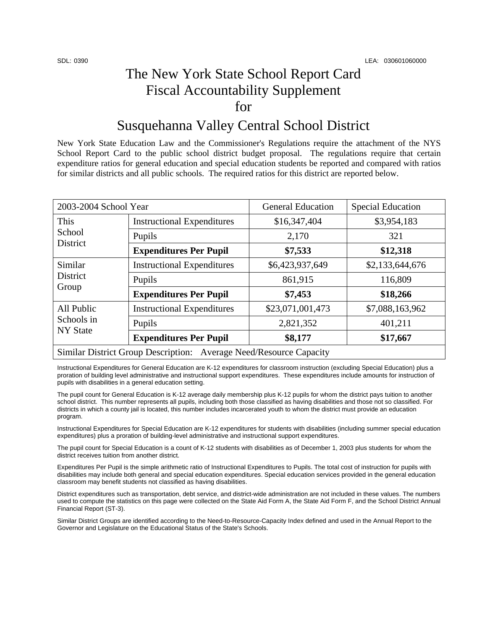## The New York State School Report Card Fiscal Accountability Supplement for

## Susquehanna Valley Central School District

New York State Education Law and the Commissioner's Regulations require the attachment of the NYS School Report Card to the public school district budget proposal. The regulations require that certain expenditure ratios for general education and special education students be reported and compared with ratios for similar districts and all public schools. The required ratios for this district are reported below.

| 2003-2004 School Year                                              |                                   | <b>General Education</b> | <b>Special Education</b> |  |
|--------------------------------------------------------------------|-----------------------------------|--------------------------|--------------------------|--|
| This<br>School<br><b>District</b>                                  | <b>Instructional Expenditures</b> | \$16,347,404             | \$3,954,183              |  |
|                                                                    | Pupils                            | 2,170                    | 321                      |  |
|                                                                    | <b>Expenditures Per Pupil</b>     | \$7,533                  | \$12,318                 |  |
| Similar<br>District<br>Group                                       | <b>Instructional Expenditures</b> | \$6,423,937,649          | \$2,133,644,676          |  |
|                                                                    | Pupils                            | 861,915                  | 116,809                  |  |
|                                                                    | <b>Expenditures Per Pupil</b>     | \$7,453                  | \$18,266                 |  |
| All Public<br>Schools in<br><b>NY State</b>                        | <b>Instructional Expenditures</b> | \$23,071,001,473         | \$7,088,163,962          |  |
|                                                                    | Pupils                            | 2,821,352                | 401,211                  |  |
|                                                                    | <b>Expenditures Per Pupil</b>     | \$8,177                  | \$17,667                 |  |
| Similar District Group Description: Average Need/Resource Capacity |                                   |                          |                          |  |

Instructional Expenditures for General Education are K-12 expenditures for classroom instruction (excluding Special Education) plus a proration of building level administrative and instructional support expenditures. These expenditures include amounts for instruction of pupils with disabilities in a general education setting.

The pupil count for General Education is K-12 average daily membership plus K-12 pupils for whom the district pays tuition to another school district. This number represents all pupils, including both those classified as having disabilities and those not so classified. For districts in which a county jail is located, this number includes incarcerated youth to whom the district must provide an education program.

Instructional Expenditures for Special Education are K-12 expenditures for students with disabilities (including summer special education expenditures) plus a proration of building-level administrative and instructional support expenditures.

The pupil count for Special Education is a count of K-12 students with disabilities as of December 1, 2003 plus students for whom the district receives tuition from another district.

Expenditures Per Pupil is the simple arithmetic ratio of Instructional Expenditures to Pupils. The total cost of instruction for pupils with disabilities may include both general and special education expenditures. Special education services provided in the general education classroom may benefit students not classified as having disabilities.

District expenditures such as transportation, debt service, and district-wide administration are not included in these values. The numbers used to compute the statistics on this page were collected on the State Aid Form A, the State Aid Form F, and the School District Annual Financial Report (ST-3).

Similar District Groups are identified according to the Need-to-Resource-Capacity Index defined and used in the Annual Report to the Governor and Legislature on the Educational Status of the State's Schools.